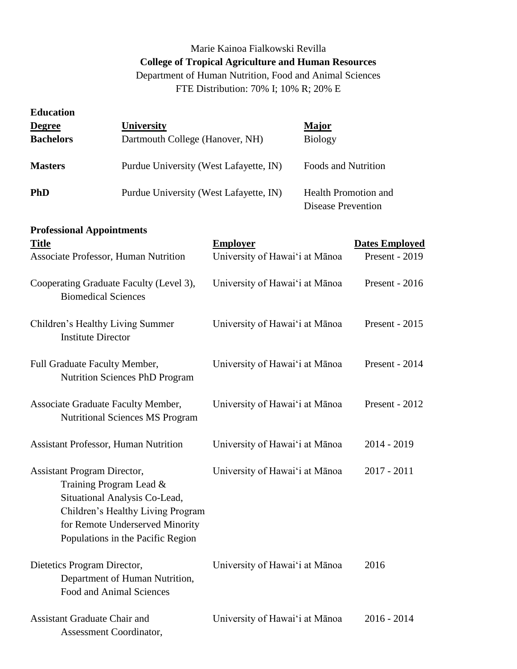## Marie Kainoa Fialkowski Revilla **College of Tropical Agriculture and Human Resources** Department of Human Nutrition, Food and Animal Sciences

FTE Distribution: 70% I; 10% R; 20% E

| <b>Education</b>                    |                                                                                                                                                                          |                                |                                                          |                       |
|-------------------------------------|--------------------------------------------------------------------------------------------------------------------------------------------------------------------------|--------------------------------|----------------------------------------------------------|-----------------------|
| <b>Degree</b>                       | <b>University</b>                                                                                                                                                        |                                | <b>Major</b>                                             |                       |
| <b>Bachelors</b>                    | Dartmouth College (Hanover, NH)                                                                                                                                          |                                | <b>Biology</b>                                           |                       |
| <b>Masters</b>                      | Purdue University (West Lafayette, IN)                                                                                                                                   |                                | <b>Foods and Nutrition</b>                               |                       |
| <b>PhD</b>                          | Purdue University (West Lafayette, IN)                                                                                                                                   |                                | <b>Health Promotion and</b><br><b>Disease Prevention</b> |                       |
| <b>Professional Appointments</b>    |                                                                                                                                                                          |                                |                                                          |                       |
| <b>Title</b>                        |                                                                                                                                                                          | <b>Employer</b>                |                                                          | <b>Dates Employed</b> |
|                                     | Associate Professor, Human Nutrition                                                                                                                                     | University of Hawai'i at Mānoa |                                                          | Present - 2019        |
|                                     | Cooperating Graduate Faculty (Level 3),<br><b>Biomedical Sciences</b>                                                                                                    | University of Hawai'i at Mānoa |                                                          | Present - 2016        |
| <b>Institute Director</b>           | Children's Healthy Living Summer                                                                                                                                         | University of Hawai'i at Mānoa |                                                          | Present - 2015        |
| Full Graduate Faculty Member,       | <b>Nutrition Sciences PhD Program</b>                                                                                                                                    | University of Hawai'i at Mānoa |                                                          | Present - 2014        |
|                                     | Associate Graduate Faculty Member,<br><b>Nutritional Sciences MS Program</b>                                                                                             | University of Hawai'i at Mānoa |                                                          | Present - 2012        |
|                                     | <b>Assistant Professor, Human Nutrition</b>                                                                                                                              | University of Hawai'i at Mānoa |                                                          | $2014 - 2019$         |
| <b>Assistant Program Director,</b>  | Training Program Lead $\&$<br>Situational Analysis Co-Lead,<br>Children's Healthy Living Program<br>for Remote Underserved Minority<br>Populations in the Pacific Region | University of Hawai'i at Mānoa |                                                          | $2017 - 2011$         |
| Dietetics Program Director,         | Department of Human Nutrition,<br>Food and Animal Sciences                                                                                                               | University of Hawai'i at Mānoa |                                                          | 2016                  |
| <b>Assistant Graduate Chair and</b> | Assessment Coordinator,                                                                                                                                                  | University of Hawai'i at Mānoa |                                                          | $2016 - 2014$         |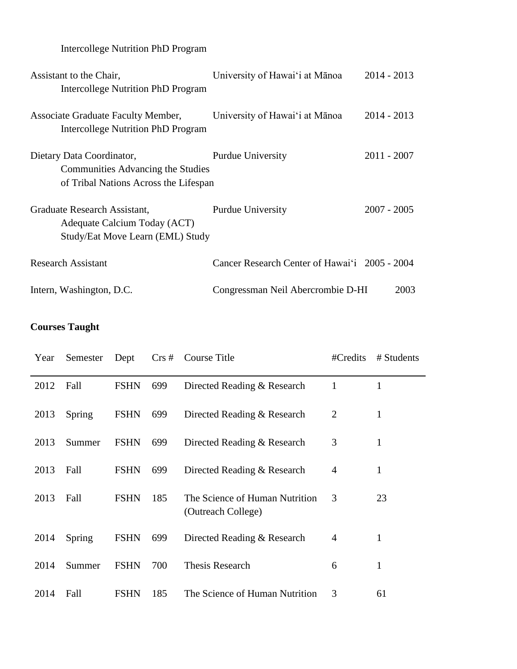Intercollege Nutrition PhD Program

| Assistant to the Chair,<br>Intercollege Nutrition PhD Program                                                  | University of Hawai'i at Mānoa                | $2014 - 2013$ |  |
|----------------------------------------------------------------------------------------------------------------|-----------------------------------------------|---------------|--|
| Associate Graduate Faculty Member,<br>Intercollege Nutrition PhD Program                                       | University of Hawai'i at Mānoa                | $2014 - 2013$ |  |
| Dietary Data Coordinator,<br><b>Communities Advancing the Studies</b><br>of Tribal Nations Across the Lifespan | <b>Purdue University</b>                      | $2011 - 2007$ |  |
| Graduate Research Assistant,<br>Adequate Calcium Today (ACT)<br>Study/Eat Move Learn (EML) Study               | <b>Purdue University</b>                      | $2007 - 2005$ |  |
| <b>Research Assistant</b>                                                                                      | Cancer Research Center of Hawai'i 2005 - 2004 |               |  |
| Intern, Washington, D.C.                                                                                       | Congressman Neil Abercrombie D-HI             | 2003          |  |

# **Courses Taught**

| Year | Semester | Dept        | $Crs \#$ | Course Title                                         | #Credits       | # Students   |
|------|----------|-------------|----------|------------------------------------------------------|----------------|--------------|
| 2012 | Fall     | <b>FSHN</b> | 699      | Directed Reading & Research                          | 1              | $\mathbf{1}$ |
| 2013 | Spring   | <b>FSHN</b> | 699      | Directed Reading & Research                          | $\overline{2}$ | 1            |
| 2013 | Summer   | <b>FSHN</b> | 699      | Directed Reading & Research                          | 3              | $\mathbf{1}$ |
| 2013 | Fall     | <b>FSHN</b> | 699      | Directed Reading & Research                          | $\overline{4}$ | 1            |
| 2013 | Fall     | <b>FSHN</b> | 185      | The Science of Human Nutrition<br>(Outreach College) | 3              | 23           |
| 2014 | Spring   | <b>FSHN</b> | 699      | Directed Reading & Research                          | $\overline{4}$ | 1            |
| 2014 | Summer   | <b>FSHN</b> | 700      | <b>Thesis Research</b>                               | 6              | 1            |
| 2014 | Fall     | <b>FSHN</b> | 185      | The Science of Human Nutrition                       | 3              | 61           |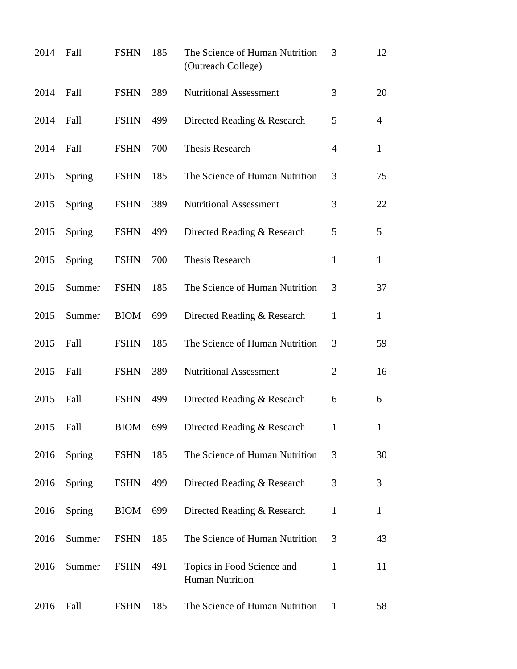| 2014 | Fall   | <b>FSHN</b> | 185 | The Science of Human Nutrition<br>(Outreach College) | 3              | 12             |
|------|--------|-------------|-----|------------------------------------------------------|----------------|----------------|
| 2014 | Fall   | <b>FSHN</b> | 389 | <b>Nutritional Assessment</b>                        | 3              | 20             |
| 2014 | Fall   | <b>FSHN</b> | 499 | Directed Reading & Research                          | 5              | $\overline{4}$ |
| 2014 | Fall   | <b>FSHN</b> | 700 | <b>Thesis Research</b>                               | $\overline{4}$ | $\mathbf{1}$   |
| 2015 | Spring | <b>FSHN</b> | 185 | The Science of Human Nutrition                       | 3              | 75             |
| 2015 | Spring | <b>FSHN</b> | 389 | <b>Nutritional Assessment</b>                        | 3              | 22             |
| 2015 | Spring | <b>FSHN</b> | 499 | Directed Reading & Research                          | 5              | 5              |
| 2015 | Spring | <b>FSHN</b> | 700 | <b>Thesis Research</b>                               | $\mathbf{1}$   | $\mathbf{1}$   |
| 2015 | Summer | <b>FSHN</b> | 185 | The Science of Human Nutrition                       | 3              | 37             |
| 2015 | Summer | <b>BIOM</b> | 699 | Directed Reading & Research                          | 1              | $\mathbf{1}$   |
| 2015 | Fall   | <b>FSHN</b> | 185 | The Science of Human Nutrition                       | 3              | 59             |
| 2015 | Fall   | <b>FSHN</b> | 389 | <b>Nutritional Assessment</b>                        | 2              | 16             |
| 2015 | Fall   | <b>FSHN</b> | 499 | Directed Reading & Research                          | 6              | 6              |
| 2015 | Fall   | <b>BIOM</b> | 699 | Directed Reading & Research                          | $\mathbf{1}$   | 1              |
| 2016 | Spring | <b>FSHN</b> | 185 | The Science of Human Nutrition                       | 3              | 30             |
| 2016 | Spring | <b>FSHN</b> | 499 | Directed Reading & Research                          | 3              | 3              |
| 2016 | Spring | <b>BIOM</b> | 699 | Directed Reading & Research                          | $\mathbf{1}$   | $\mathbf{1}$   |
| 2016 | Summer | <b>FSHN</b> | 185 | The Science of Human Nutrition                       | 3              | 43             |
| 2016 | Summer | <b>FSHN</b> | 491 | Topics in Food Science and<br><b>Human Nutrition</b> | $\mathbf{1}$   | 11             |
| 2016 | Fall   | <b>FSHN</b> | 185 | The Science of Human Nutrition                       | $\mathbf{1}$   | 58             |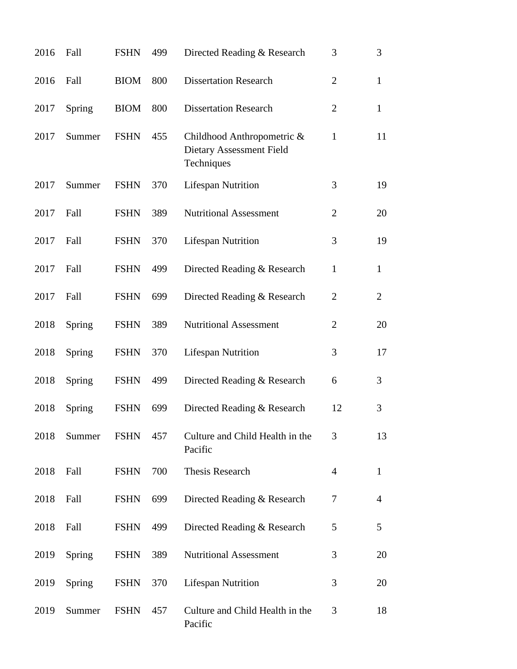| 2016 | Fall          | <b>FSHN</b> | 499 | Directed Reading & Research                                          | 3              | 3              |
|------|---------------|-------------|-----|----------------------------------------------------------------------|----------------|----------------|
| 2016 | Fall          | <b>BIOM</b> | 800 | <b>Dissertation Research</b>                                         | $\overline{2}$ | $\mathbf{1}$   |
| 2017 | Spring        | <b>BIOM</b> | 800 | <b>Dissertation Research</b>                                         | $\overline{2}$ | $\mathbf{1}$   |
| 2017 | Summer        | <b>FSHN</b> | 455 | Childhood Anthropometric &<br>Dietary Assessment Field<br>Techniques | 1              | 11             |
| 2017 | Summer        | <b>FSHN</b> | 370 | <b>Lifespan Nutrition</b>                                            | 3              | 19             |
| 2017 | Fall          | <b>FSHN</b> | 389 | <b>Nutritional Assessment</b>                                        | $\overline{2}$ | 20             |
| 2017 | Fall          | <b>FSHN</b> | 370 | <b>Lifespan Nutrition</b>                                            | 3              | 19             |
| 2017 | Fall          | <b>FSHN</b> | 499 | Directed Reading & Research                                          | $\mathbf{1}$   | $\mathbf{1}$   |
| 2017 | Fall          | <b>FSHN</b> | 699 | Directed Reading & Research                                          | $\overline{2}$ | $\overline{2}$ |
| 2018 | Spring        | <b>FSHN</b> | 389 | <b>Nutritional Assessment</b>                                        | $\overline{2}$ | 20             |
| 2018 | Spring        | <b>FSHN</b> | 370 | <b>Lifespan Nutrition</b>                                            | 3              | 17             |
| 2018 | Spring        | <b>FSHN</b> | 499 | Directed Reading & Research                                          | 6              | 3              |
| 2018 | Spring        | <b>FSHN</b> | 699 | Directed Reading & Research                                          | 12             | 3              |
| 2018 | Summer        | <b>FSHN</b> | 457 | Culture and Child Health in the<br>Pacific                           | 3              | 13             |
| 2018 | Fall          | <b>FSHN</b> | 700 | Thesis Research                                                      | $\overline{4}$ | $\mathbf{1}$   |
| 2018 | Fall          | <b>FSHN</b> | 699 | Directed Reading & Research                                          | 7              | 4              |
| 2018 | Fall          | <b>FSHN</b> | 499 | Directed Reading & Research                                          | 5              | 5              |
| 2019 | <b>Spring</b> | <b>FSHN</b> | 389 | <b>Nutritional Assessment</b>                                        | 3              | 20             |
| 2019 | Spring        | <b>FSHN</b> | 370 | <b>Lifespan Nutrition</b>                                            | 3              | 20             |
| 2019 | Summer        | <b>FSHN</b> | 457 | Culture and Child Health in the<br>Pacific                           | 3              | 18             |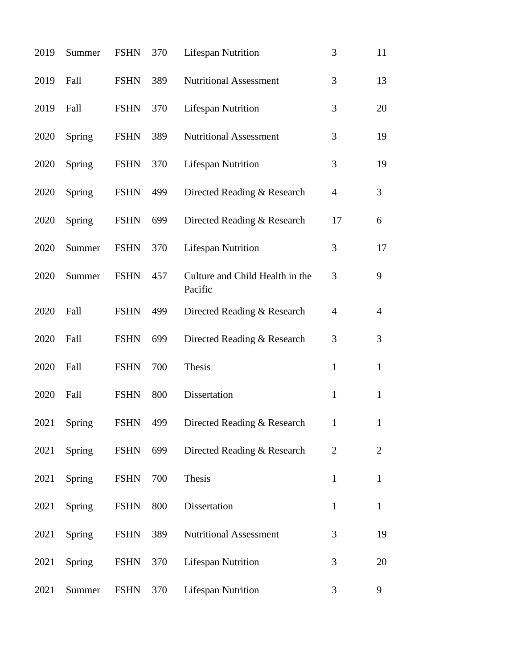| 2019 | Summer        | <b>FSHN</b> | 370 | <b>Lifespan Nutrition</b>                  | 3              | 11             |
|------|---------------|-------------|-----|--------------------------------------------|----------------|----------------|
| 2019 | Fall          | <b>FSHN</b> | 389 | <b>Nutritional Assessment</b>              | 3              | 13             |
| 2019 | Fall          | <b>FSHN</b> | 370 | <b>Lifespan Nutrition</b>                  | 3              | 20             |
| 2020 | Spring        | <b>FSHN</b> | 389 | <b>Nutritional Assessment</b>              | 3              | 19             |
| 2020 | Spring        | <b>FSHN</b> | 370 | <b>Lifespan Nutrition</b>                  | 3              | 19             |
| 2020 | Spring        | <b>FSHN</b> | 499 | Directed Reading & Research                | $\overline{4}$ | 3              |
| 2020 | <b>Spring</b> | <b>FSHN</b> | 699 | Directed Reading & Research                | 17             | 6              |
| 2020 | Summer        | <b>FSHN</b> | 370 | <b>Lifespan Nutrition</b>                  | 3              | 17             |
| 2020 | Summer        | <b>FSHN</b> | 457 | Culture and Child Health in the<br>Pacific | 3              | 9              |
| 2020 | Fall          | <b>FSHN</b> | 499 | Directed Reading & Research                | $\overline{4}$ | $\overline{4}$ |
| 2020 | Fall          | <b>FSHN</b> | 699 | Directed Reading & Research                | 3              | 3              |
| 2020 | Fall          | <b>FSHN</b> | 700 | Thesis                                     | $\mathbf{1}$   | $\mathbf{1}$   |
| 2020 | Fall          | <b>FSHN</b> | 800 | Dissertation                               | $\mathbf{1}$   | $\mathbf{1}$   |
| 2021 | Spring        | FSHN        | 499 | Directed Reading & Research                | $\mathbf{1}$   |                |
| 2021 | Spring        | <b>FSHN</b> | 699 | Directed Reading & Research                | $\overline{2}$ | $\overline{2}$ |
| 2021 | Spring        | <b>FSHN</b> | 700 | Thesis                                     | $\mathbf{1}$   | $\mathbf{1}$   |
| 2021 | Spring        | <b>FSHN</b> | 800 | Dissertation                               | $\mathbf{1}$   | $\mathbf{1}$   |
| 2021 | Spring        | <b>FSHN</b> | 389 | <b>Nutritional Assessment</b>              | 3              | 19             |
| 2021 | Spring        | <b>FSHN</b> | 370 | <b>Lifespan Nutrition</b>                  | 3              | 20             |
| 2021 | Summer        | <b>FSHN</b> | 370 | <b>Lifespan Nutrition</b>                  | 3              | 9              |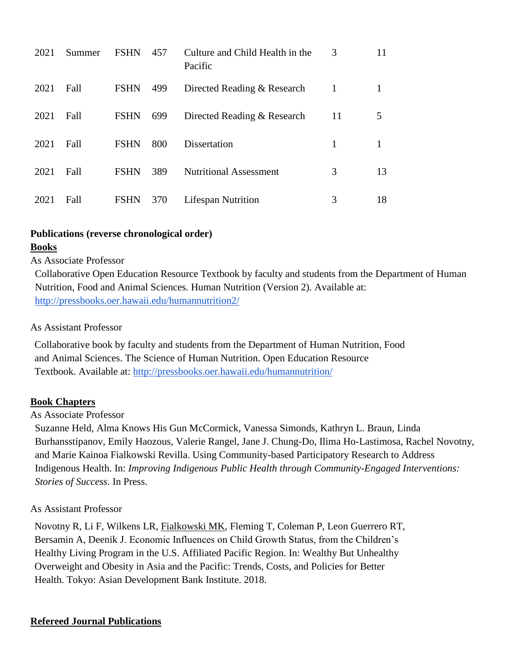| 2021 | Summer | <b>FSHN</b> | 457 | Culture and Child Health in the<br>Pacific | 3  | 11 |
|------|--------|-------------|-----|--------------------------------------------|----|----|
| 2021 | Fall   | <b>FSHN</b> | 499 | Directed Reading & Research                | 1  |    |
| 2021 | Fall   | <b>FSHN</b> | 699 | Directed Reading & Research                | 11 | 5  |
| 2021 | Fall   | <b>FSHN</b> | 800 | Dissertation                               | 1  |    |
| 2021 | Fall   | <b>FSHN</b> | 389 | <b>Nutritional Assessment</b>              | 3  | 13 |
| 2021 | Fall   | <b>FSHN</b> | 370 | <b>Lifespan Nutrition</b>                  | 3  | 18 |

## **Publications (reverse chronological order)**

## **Books**

## As Associate Professor

Collaborative Open Education Resource Textbook by faculty and students from the Department of Human Nutrition, Food and Animal Sciences. Human Nutrition (Version 2). Available at: <http://pressbooks.oer.hawaii.edu/humannutrition2/>

## As Assistant Professor

Collaborative book by faculty and students from the Department of Human Nutrition, Food and Animal Sciences. The Science of Human Nutrition. Open Education Resource Textbook. Available at[:](http://pressbooks.oer.hawaii.edu/humannutrition/) <http://pressbooks.oer.hawaii.edu/humannutrition/>

## **Book Chapters**

## As Associate Professor

Suzanne Held, Alma Knows His Gun McCormick, Vanessa Simonds, Kathryn L. Braun, Linda Burhansstipanov, Emily Haozous, Valerie Rangel, Jane J. Chung-Do, Ilima Ho-Lastimosa, Rachel Novotny, and Marie Kainoa Fialkowski Revilla. Using Community-based Participatory Research to Address Indigenous Health. In: *Improving Indigenous Public Health through Community-Engaged Interventions: Stories of Success*. In Press.

## As Assistant Professor

Novotny R, Li F, Wilkens LR, Fialkowski MK, Fleming T, Coleman P, Leon Guerrero RT, Bersamin A, Deenik J. Economic Influences on Child Growth Status, from the Children's Healthy Living Program in the U.S. Affiliated Pacific Region. In: Wealthy But Unhealthy Overweight and Obesity in Asia and the Pacific: Trends, Costs, and Policies for Better Health. Tokyo: Asian Development Bank Institute. 2018.

## **Refereed Journal Publications**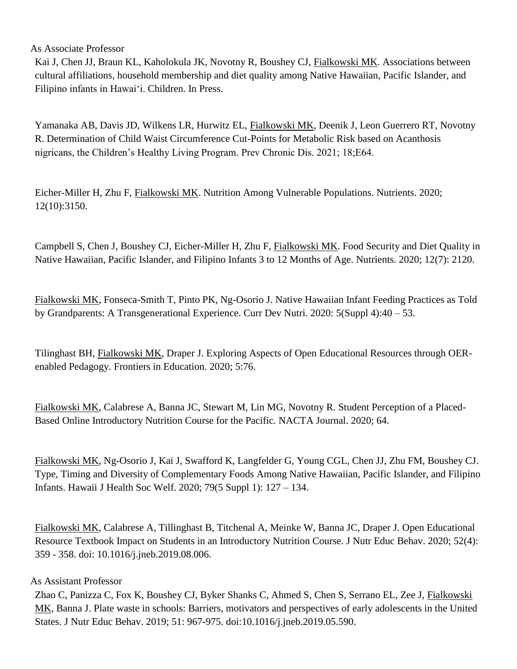As Associate Professor

Kai J, Chen JJ, Braun KL, Kaholokula JK, Novotny R, Boushey CJ, Fialkowski MK. Associations between cultural affiliations, household membership and diet quality among Native Hawaiian, Pacific Islander, and Filipino infants in Hawaiʻi. Children. In Press.

Yamanaka AB, Davis JD, Wilkens LR, Hurwitz EL, Fialkowski MK, Deenik J, Leon Guerrero RT, Novotny R. Determination of Child Waist Circumference Cut-Points for Metabolic Risk based on Acanthosis nigricans, the Children's Healthy Living Program. Prev Chronic Dis. 2021; 18;E64.

Eicher-Miller H, Zhu F, Fialkowski MK. Nutrition Among Vulnerable Populations. Nutrients. 2020; 12(10):3150.

Campbell S, Chen J, Boushey CJ, Eicher-Miller H, Zhu F, Fialkowski MK. Food Security and Diet Quality in Native Hawaiian, Pacific Islander, and Filipino Infants 3 to 12 Months of Age. Nutrients. 2020; 12(7): 2120.

Fialkowski MK, Fonseca-Smith T, Pinto PK, Ng-Osorio J. Native Hawaiian Infant Feeding Practices as Told by Grandparents: A Transgenerational Experience. Curr Dev Nutri. 2020: 5(Suppl 4):40 – 53.

Tilinghast BH, Fialkowski MK, Draper J. Exploring Aspects of Open Educational Resources through OERenabled Pedagogy. Frontiers in Education. 2020; 5:76.

Fialkowski MK, Calabrese A, Banna JC, Stewart M, Lin MG, Novotny R. Student Perception of a Placed-Based Online Introductory Nutrition Course for the Pacific. NACTA Journal. 2020; 64.

Fialkowski MK, Ng-Osorio J, Kai J, Swafford K, Langfelder G, Young CGL, Chen JJ, Zhu FM, Boushey CJ. Type, Timing and Diversity of Complementary Foods Among Native Hawaiian, Pacific Islander, and Filipino Infants. Hawaii J Health Soc Welf. 2020; 79(5 Suppl 1): 127 – 134.

Fialkowski MK, Calabrese A, Tillinghast B, Titchenal A, Meinke W, Banna JC, Draper J. Open Educational Resource Textbook Impact on Students in an Introductory Nutrition Course. J Nutr Educ Behav. 2020; 52(4): 359 - 358. doi: 10.1016/j.jneb.2019.08.006.

## As Assistant Professor

Zhao C, Panizza C, Fox K, Boushey CJ, Byker Shanks C, Ahmed S, Chen S, Serrano EL, Zee J, Fialkowski MK, Banna J. Plate waste in schools: Barriers, motivators and perspectives of early adolescents in the United States. J Nutr Educ Behav. 2019; 51: 967-975. doi:10.1016/j.jneb.2019.05.590.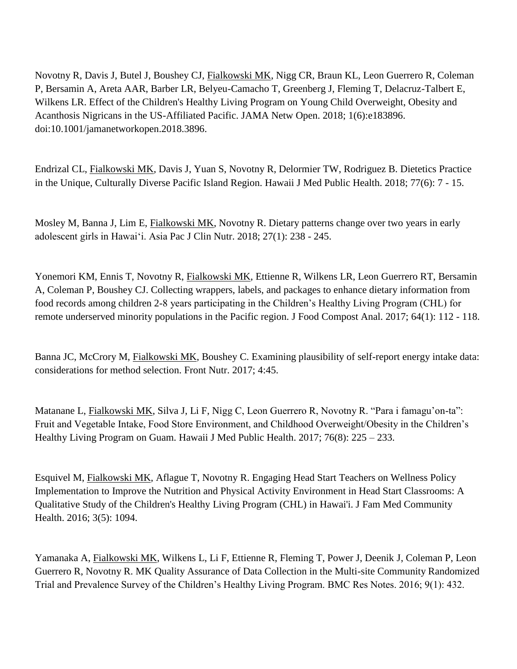Novotny R, Davis J, Butel J, Boushey CJ, Fialkowski MK, Nigg CR, Braun KL, Leon Guerrero R, Coleman P, Bersamin A, Areta AAR, Barber LR, Belyeu-Camacho T, Greenberg J, Fleming T, Delacruz-Talbert E, Wilkens LR. Effect of the Children's Healthy Living Program on Young Child Overweight, Obesity and Acanthosis Nigricans in the US-Affiliated Pacific. JAMA Netw Open. 2018; 1(6):e183896. doi:10.1001/jamanetworkopen.2018.3896.

Endrizal CL, Fialkowski MK, Davis J, Yuan S, Novotny R, Delormier TW, Rodriguez B. Dietetics Practice in the Unique, Culturally Diverse Pacific Island Region. Hawaii J Med Public Health. 2018; 77(6): 7 - 15.

Mosley M, Banna J, Lim E, Fialkowski MK, Novotny R. Dietary patterns change over two years in early adolescent girls in Hawai'i. Asia Pac J Clin Nutr. 2018; 27(1): 238 - 245.

Yonemori KM, Ennis T, Novotny R, Fialkowski MK, Ettienne R, Wilkens LR, Leon Guerrero RT, Bersamin A, Coleman P, Boushey CJ. Collecting wrappers, labels, and packages to enhance dietary information from food records among children 2-8 years participating in the Children's Healthy Living Program (CHL) for remote underserved minority populations in the Pacific region. J Food Compost Anal. 2017; 64(1): 112 - 118.

Banna JC, McCrory M, Fialkowski MK, Boushey C. Examining plausibility of self-report energy intake data: considerations for method selection. Front Nutr. 2017; 4:45.

Matanane L, Fialkowski MK, Silva J, Li F, Nigg C, Leon Guerrero R, Novotny R. "Para i famagu'on-ta": Fruit and Vegetable Intake, Food Store Environment, and Childhood Overweight/Obesity in the Children's Healthy Living Program on Guam. Hawaii J Med Public Health. 2017; 76(8): 225 – 233.

Esquivel M, Fialkowski MK, Aflague T, Novotny R. Engaging Head Start Teachers on Wellness Policy Implementation to Improve the Nutrition and Physical Activity Environment in Head Start Classrooms: A Qualitative Study of the Children's Healthy Living Program (CHL) in Hawai'i. J Fam Med Community Health. 2016; 3(5): 1094.

Yamanaka A, Fialkowski MK, Wilkens L, Li F, Ettienne R, Fleming T, Power J, Deenik J, Coleman P, Leon Guerrero R, Novotny R. MK Quality Assurance of Data Collection in the Multi-site Community Randomized Trial and Prevalence Survey of the Children's Healthy Living Program. BMC Res Notes. 2016; 9(1): 432.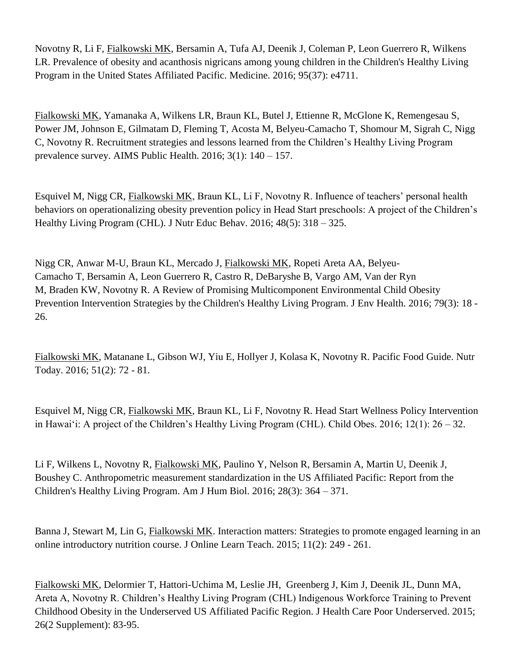Novotny R, Li F, Fialkowski MK, Bersamin A, Tufa AJ, Deenik J, Coleman P, Leon Guerrero R, Wilkens LR. Prevalence of obesity and acanthosis nigricans among young children in the Children's Healthy Living Program in the United States Affiliated Pacific. Medicine. 2016; 95(37): e4711.

Fialkowski MK, Yamanaka A, Wilkens LR, Braun KL, Butel J, Ettienne R, McGlone K, Remengesau S, Power JM, Johnson E, Gilmatam D, Fleming T, Acosta M, Belyeu-Camacho T, Shomour M, Sigrah C, Nigg C, Novotny R. Recruitment strategies and lessons learned from the Children's Healthy Living Program prevalence survey. AIMS Public Health. 2016; 3(1): 140 – 157.

Esquivel M, Nigg CR, Fialkowski MK, Braun KL, Li F, Novotny R. Influence of teachers' personal health behaviors on operationalizing obesity prevention policy in Head Start preschools: A project of the Children's Healthy Living Program (CHL). J Nutr Educ Behav. 2016; 48(5): 318 – 325.

Nigg CR, Anwar M-U, Braun KL, Mercado J, Fialkowski MK, Ropeti Areta AA, Belyeu-Camacho T, Bersamin A, Leon Guerrero R, Castro R, DeBaryshe B, Vargo AM, Van der Ryn M, Braden KW, Novotny R. A Review of Promising Multicomponent Environmental Child Obesity Prevention Intervention Strategies by the Children's Healthy Living Program. J Env Health. 2016; 79(3): 18 - 26.

Fialkowski MK, Matanane L, Gibson WJ, Yiu E, Hollyer J, Kolasa K, Novotny R. Pacific Food Guide. Nutr Today. 2016; 51(2): 72 - 81.

Esquivel M, Nigg CR, Fialkowski MK, Braun KL, Li F, Novotny R. Head Start Wellness Policy Intervention in Hawaiʻi: A project of the Children's Healthy Living Program (CHL). Child Obes. 2016; 12(1): 26 – 32.

Li F, Wilkens L, Novotny R, Fialkowski MK, Paulino Y, Nelson R, Bersamin A, Martin U, Deenik J, Boushey C. Anthropometric measurement standardization in the US Affiliated Pacific: Report from the Children's Healthy Living Program. Am J Hum Biol. 2016; 28(3): 364 – 371.

Banna J, Stewart M, Lin G, Fialkowski MK. Interaction matters: Strategies to promote engaged learning in an online introductory nutrition course. J Online Learn Teach. 2015; 11(2): 249 - 261.

Fialkowski MK, Delormier T, Hattori-Uchima M, Leslie JH, Greenberg J, Kim J, Deenik JL, Dunn MA, Areta A, Novotny R. Children's Healthy Living Program (CHL) Indigenous Workforce Training to Prevent Childhood Obesity in the Underserved US Affiliated Pacific Region. J Health Care Poor Underserved. 2015; 26(2 Supplement): 83-95.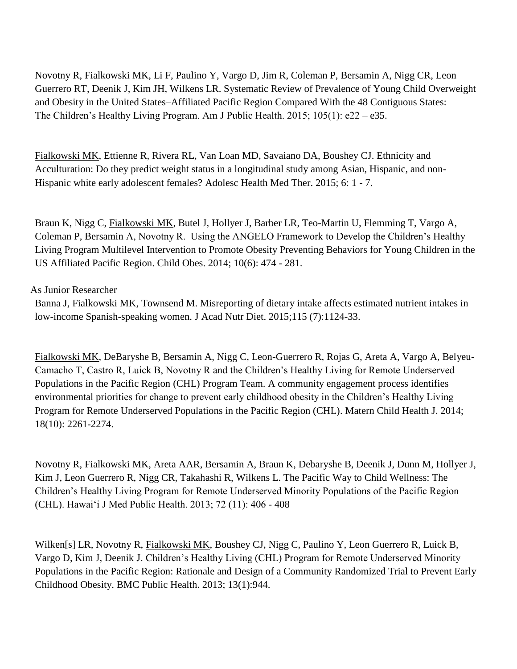Novotny R, Fialkowski MK, Li F, Paulino Y, Vargo D, Jim R, Coleman P, Bersamin A, Nigg CR, Leon Guerrero RT, Deenik J, Kim JH, Wilkens LR. Systematic Review of Prevalence of Young Child Overweight and Obesity in the United States–Affiliated Pacific Region Compared With the 48 Contiguous States: The Children's Healthy Living Program. Am J Public Health. 2015; 105(1): e22 – e35.

Fialkowski MK, Ettienne R, Rivera RL, Van Loan MD, Savaiano DA, Boushey CJ. Ethnicity and Acculturation: Do they predict weight status in a longitudinal study among Asian, Hispanic, and non-Hispanic white early adolescent females? Adolesc Health Med Ther. 2015; 6: 1 - 7.

Braun K, Nigg C, Fialkowski MK, Butel J, Hollyer J, Barber LR, Teo-Martin U, Flemming T, Vargo A, Coleman P, Bersamin A, Novotny R. Using the ANGELO Framework to Develop the Children's Healthy Living Program Multilevel Intervention to Promote Obesity Preventing Behaviors for Young Children in the US Affiliated Pacific Region. Child Obes. 2014; 10(6): 474 - 281.

As Junior Researcher

Banna J, Fialkowski MK, Townsend M. Misreporting of dietary intake affects estimated nutrient intakes in low-income Spanish-speaking women. J Acad Nutr Diet. 2015;115 (7):1124-33.

Fialkowski MK, DeBaryshe B, Bersamin A, Nigg C, Leon-Guerrero R, Rojas G, Areta A, Vargo A, Belyeu-Camacho T, Castro R, Luick B, Novotny R and the Children's Healthy Living for Remote Underserved Populations in the Pacific Region (CHL) Program Team. A community engagement process identifies environmental priorities for change to prevent early childhood obesity in the Children's Healthy Living Program for Remote Underserved Populations in the Pacific Region (CHL). Matern Child Health J. 2014; 18(10): 2261-2274.

Novotny R, Fialkowski MK, Areta AAR, Bersamin A, Braun K, Debaryshe B, Deenik J, Dunn M, Hollyer J, Kim J, Leon Guerrero R, Nigg CR, Takahashi R, Wilkens L. The Pacific Way to Child Wellness: The Children's Healthy Living Program for Remote Underserved Minority Populations of the Pacific Region (CHL). Hawai'i J Med Public Health. 2013; 72 (11): 406 - 408

Wilken[s] LR, Novotny R, Fialkowski MK, Boushey CJ, Nigg C, Paulino Y, Leon Guerrero R, Luick B, Vargo D, Kim J, Deenik J. Children's Healthy Living (CHL) Program for Remote Underserved Minority Populations in the Pacific Region: Rationale and Design of a Community Randomized Trial to Prevent Early Childhood Obesity. BMC Public Health. 2013; 13(1):944.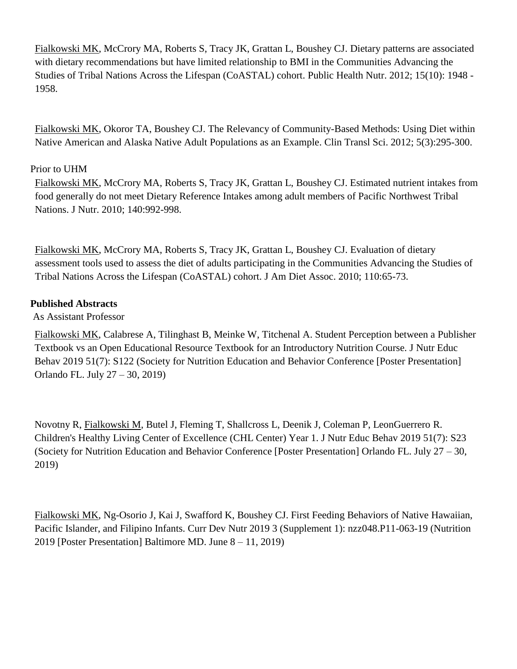Fialkowski MK, McCrory MA, Roberts S, Tracy JK, Grattan L, Boushey CJ. [Dietary patterns are associated](http://www.ncbi.nlm.nih.gov/pubmed/22348238)  [with dietary recommendations but have limited relationship to BMI in the Communities Advancing the](http://www.ncbi.nlm.nih.gov/pubmed/22348238)  Studies of [Tribal Nations Across the Lifespan \(CoASTAL\) cohort.](http://www.ncbi.nlm.nih.gov/pubmed/22348238) Public Health Nutr. 2012; 15(10): 1948 - 1958.

Fialkowski MK, Okoror TA, Boushey CJ. [The Relevancy of Community-Based Methods: Using Diet within](http://onlinelibrary.wiley.com/doi/10.1111/j.1752-8062.2011.00364.x/abstract)  [Native American and Alaska Native Adult Populations as an Example.](http://onlinelibrary.wiley.com/doi/10.1111/j.1752-8062.2011.00364.x/abstract) Clin Transl Sci. 2012; 5(3):295-300.

## Prior to UHM

Fialkowski MK, McCrory MA, Roberts S, Tracy JK, Grattan L, Boushey CJ. Estimated nutrient intakes from food generally do not meet Dietary Reference Intakes among adult members of Pacific Northwest Tribal Nations. J Nutr. 2010; 140:992-998.

Fialkowski MK, McCrory MA, Roberts S, Tracy JK, Grattan L, Boushey CJ. Evaluation of dietary assessment tools used to assess the diet of adults participating in the Communities Advancing the Studies of Tribal Nations Across the Lifespan (CoASTAL) cohort. J Am Diet Assoc. 2010; 110:65-73.

## **Published Abstracts**

As Assistant Professor

Fialkowski MK, Calabrese A, Tilinghast B, Meinke W, Titchenal A. Student Perception between a Publisher Textbook vs an Open Educational Resource Textbook for an Introductory Nutrition Course. J Nutr Educ Behav 2019 51(7): S122 (Society for Nutrition Education and Behavior Conference [Poster Presentation] Orlando FL. July 27 – 30, 2019)

Novotny R, Fialkowski M, Butel J, Fleming T, Shallcross L, Deenik J, Coleman P, LeonGuerrero R. Children's Healthy Living Center of Excellence (CHL Center) Year 1. J Nutr Educ Behav 2019 51(7): S23 (Society for Nutrition Education and Behavior Conference [Poster Presentation] Orlando FL. July 27 – 30, 2019)

Fialkowski MK, Ng-Osorio J, Kai J, Swafford K, Boushey CJ. First Feeding Behaviors of Native Hawaiian, Pacific Islander, and Filipino Infants. Curr Dev Nutr 2019 3 (Supplement 1): nzz048.P11-063-19 (Nutrition 2019 [Poster Presentation] Baltimore MD. June 8 – 11, 2019)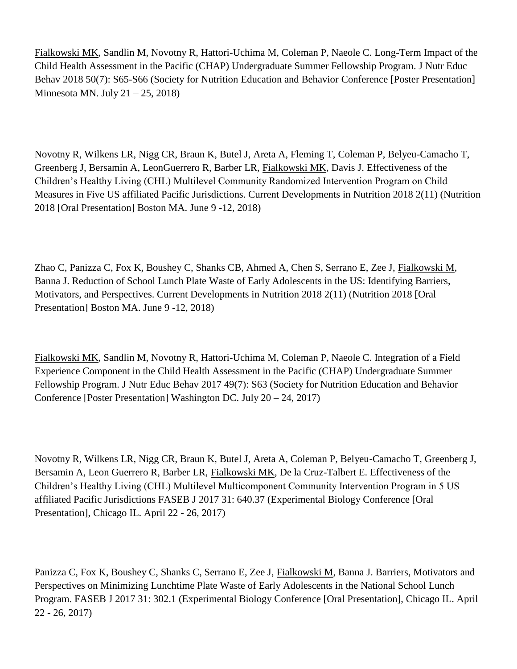Fialkowski MK, Sandlin M, Novotny R, Hattori-Uchima M, Coleman P, Naeole C. Long-Term Impact of the Child Health Assessment in the Pacific (CHAP) Undergraduate Summer Fellowship Program. J Nutr Educ Behav 2018 50(7): S65-S66 (Society for Nutrition Education and Behavior Conference [Poster Presentation] Minnesota MN. July  $21 - 25$ , 2018)

Novotny R, Wilkens LR, Nigg CR, Braun K, Butel J, Areta A, Fleming T, Coleman P, Belyeu-Camacho T, Greenberg J, Bersamin A, LeonGuerrero R, Barber LR, Fialkowski MK, Davis J. Effectiveness of the Children's Healthy Living (CHL) Multilevel Community Randomized Intervention Program on Child Measures in Five US affiliated Pacific Jurisdictions. Current Developments in Nutrition 2018 2(11) (Nutrition 2018 [Oral Presentation] Boston MA. June 9 -12, 2018)

Zhao C, Panizza C, Fox K, Boushey C, Shanks CB, Ahmed A, Chen S, Serrano E, Zee J, Fialkowski M, Banna J. Reduction of School Lunch Plate Waste of Early Adolescents in the US: Identifying Barriers, Motivators, and Perspectives. Current Developments in Nutrition 2018 2(11) (Nutrition 2018 [Oral Presentation] Boston MA. June 9 -12, 2018)

Fialkowski MK, Sandlin M, Novotny R, Hattori-Uchima M, Coleman P, Naeole C. Integration of a Field Experience Component in the Child Health Assessment in the Pacific (CHAP) Undergraduate Summer Fellowship Program. J Nutr Educ Behav 2017 49(7): S63 (Society for Nutrition Education and Behavior Conference [Poster Presentation] Washington DC. July 20 – 24, 2017)

Novotny R, Wilkens LR, Nigg CR, Braun K, Butel J, Areta A, Coleman P, Belyeu-Camacho T, Greenberg J, Bersamin A, Leon Guerrero R, Barber LR, Fialkowski MK, De la Cruz-Talbert E. Effectiveness of the Children's Healthy Living (CHL) Multilevel Multicomponent Community Intervention Program in 5 US affiliated Pacific Jurisdictions FASEB J 2017 31: 640.37 (Experimental Biology Conference [Oral Presentation], Chicago IL. April 22 - 26, 2017)

Panizza C, Fox K, Boushey C, Shanks C, Serrano E, Zee J, Fialkowski M, Banna J. Barriers, Motivators and Perspectives on Minimizing Lunchtime Plate Waste of Early Adolescents in the National School Lunch Program. FASEB J 2017 31: 302.1 (Experimental Biology Conference [Oral Presentation], Chicago IL. April 22 - 26, 2017)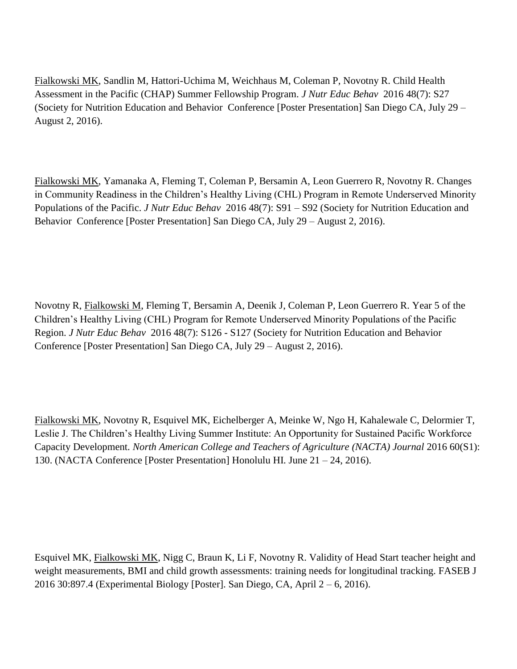Fialkowski MK, Sandlin M, Hattori-Uchima M, Weichhaus M, Coleman P, Novotny R. Child Health Assessment in the Pacific (CHAP) Summer Fellowship Program. *J Nutr Educ Behav* 2016 48(7): S27 (Society for Nutrition Education and Behavior Conference [Poster Presentation] San Diego CA, July 29 – August 2, 2016).

Fialkowski MK, Yamanaka A, Fleming T, Coleman P, Bersamin A, Leon Guerrero R, Novotny R. Changes in Community Readiness in the Children's Healthy Living (CHL) Program in Remote Underserved Minority Populations of the Pacific. *J Nutr Educ Behav* 2016 48(7): S91 – S92 (Society for Nutrition Education and Behavior Conference [Poster Presentation] San Diego CA, July 29 – August 2, 2016).

Novotny R, Fialkowski M, Fleming T, Bersamin A, Deenik J, Coleman P, Leon Guerrero R. Year 5 of the Children's Healthy Living (CHL) Program for Remote Underserved Minority Populations of the Pacific Region. *J Nutr Educ Behav* 2016 48(7): S126 - S127 (Society for Nutrition Education and Behavior Conference [Poster Presentation] San Diego CA, July 29 – August 2, 2016).

Fialkowski MK, Novotny R, Esquivel MK, Eichelberger A, Meinke W, Ngo H, Kahalewale C, Delormier T, Leslie J. The Children's Healthy Living Summer Institute: An Opportunity for Sustained Pacific Workforce Capacity Development. *North American College and Teachers of Agriculture (NACTA) Journal* 2016 60(S1): 130. (NACTA Conference [Poster Presentation] Honolulu HI. June 21 – 24, 2016).

Esquivel MK, Fialkowski MK, Nigg C, Braun K, Li F, Novotny R. Validity of Head Start teacher height and weight measurements, BMI and child growth assessments: training needs for longitudinal tracking. FASEB J 2016 30:897.4 (Experimental Biology [Poster]. San Diego, CA, April 2 – 6, 2016).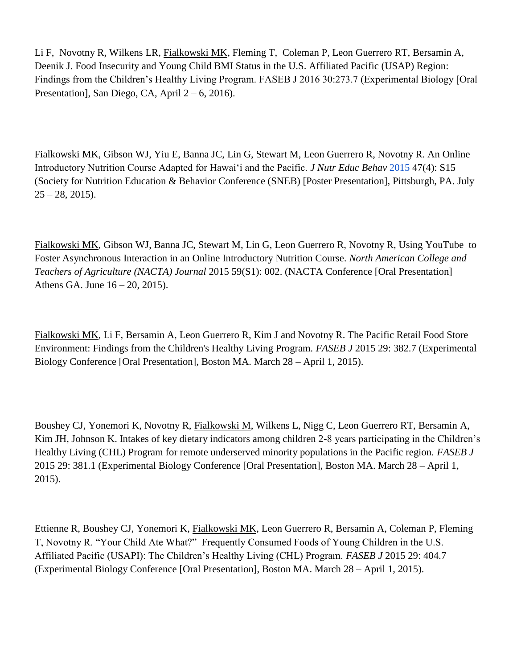Li F, Novotny R, Wilkens LR, Fialkowski MK, Fleming T, Coleman P, Leon Guerrero RT, Bersamin A, Deenik J. Food Insecurity and Young Child BMI Status in the U.S. Affiliated Pacific (USAP) Region: Findings from the Children's Healthy Living Program. FASEB J 2016 30:273.7 (Experimental Biology [Oral Presentation], San Diego, CA, April  $2 - 6$ , 2016).

Fialkowski MK, Gibson WJ, Yiu E, Banna JC, Lin G, Stewart M, Leon Guerrero R, Novotny R. An Online Introductory Nutrition Course Adapted for Hawai'i and the Pacific. *J Nutr Educ Behav* [2015](http://www.jneb.org/issue/S1499-4046%2815%29X0002-9) 47(4): S15 (Society for Nutrition Education & Behavior Conference (SNEB) [Poster Presentation], Pittsburgh, PA. July  $25 - 28$ , 2015).

Fialkowski MK, Gibson WJ, Banna JC, Stewart M, Lin G, Leon Guerrero R, Novotny R, Using YouTube to Foster Asynchronous Interaction in an Online Introductory Nutrition Course. *North American College and Teachers of Agriculture (NACTA) Journal* 2015 59(S1): 002. (NACTA Conference [Oral Presentation] Athens GA. June 16 – 20, 2015).

Fialkowski MK, Li F, Bersamin A, Leon Guerrero R, Kim J and Novotny R. The Pacific Retail Food Store Environment: Findings from the Children's Healthy Living Program. *FASEB J* 2015 29: 382.7 (Experimental Biology Conference [Oral Presentation], Boston MA. March 28 – April 1, 2015).

Boushey CJ, Yonemori K, Novotny R, Fialkowski M, Wilkens L, Nigg C, Leon Guerrero RT, Bersamin A, Kim JH, Johnson K. Intakes of key dietary indicators among children 2-8 years participating in the Children's Healthy Living (CHL) Program for remote underserved minority populations in the Pacific region. *FASEB J* 2015 29: 381.1 (Experimental Biology Conference [Oral Presentation], Boston MA. March 28 – April 1, 2015).

Ettienne R, Boushey CJ, Yonemori K, Fialkowski MK, Leon Guerrero R, Bersamin A, Coleman P, Fleming T, Novotny R. "Your Child Ate What?" Frequently Consumed Foods of Young Children in the U.S. Affiliated Pacific (USAPI): The Children's Healthy Living (CHL) Program. *FASEB J* 2015 29: 404.7 (Experimental Biology Conference [Oral Presentation], Boston MA. March 28 – April 1, 2015).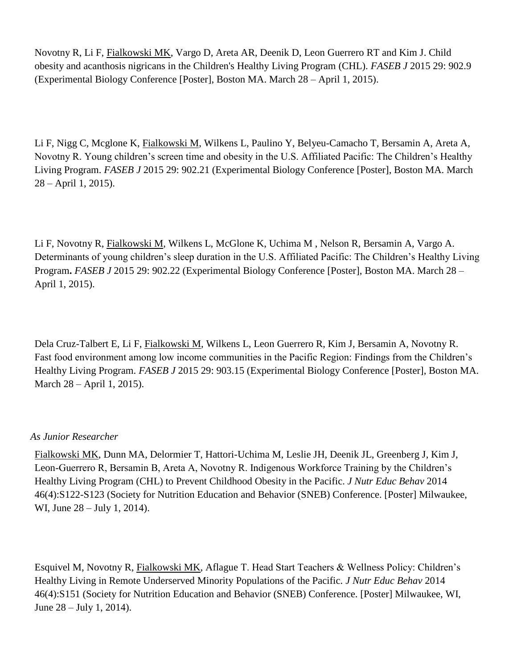Novotny R, Li F, Fialkowski MK, Vargo D, Areta AR, Deenik D, Leon Guerrero RT and Kim J. Child obesity and acanthosis nigricans in the Children's Healthy Living Program (CHL). *FASEB J* 2015 29: 902.9 (Experimental Biology Conference [Poster], Boston MA. March 28 – April 1, 2015).

Li F, Nigg C, Mcglone K, Fialkowski M, Wilkens L, Paulino Y, Belyeu-Camacho T, Bersamin A, Areta A, Novotny R. Young children's screen time and obesity in the U.S. Affiliated Pacific: The Children's Healthy Living Program. *FASEB J* 2015 29: 902.21 (Experimental Biology Conference [Poster], Boston MA. March 28 – April 1, 2015).

Li F, Novotny R, Fialkowski M, Wilkens L, McGlone K, Uchima M , Nelson R, Bersamin A, Vargo A. Determinants of young children's sleep duration in the U.S. Affiliated Pacific: The Children's Healthy Living Program**.** *FASEB J* 2015 29: 902.22 (Experimental Biology Conference [Poster], Boston MA. March 28 – April 1, 2015).

Dela Cruz-Talbert E, Li F, Fialkowski M, Wilkens L, Leon Guerrero R, Kim J, Bersamin A, Novotny R. Fast food environment among low income communities in the Pacific Region: Findings from the Children's Healthy Living Program. *FASEB J* 2015 29: 903.15 (Experimental Biology Conference [Poster], Boston MA. March 28 – April 1, 2015).

#### *As Junior Researcher*

Fialkowski MK, Dunn MA, Delormier T, Hattori-Uchima M, Leslie JH, Deenik JL, Greenberg J, Kim J, Leon-Guerrero R, Bersamin B, Areta A, Novotny R. Indigenous Workforce Training by the Children's Healthy Living Program (CHL) to Prevent Childhood Obesity in the Pacific. *J Nutr Educ Behav* 2014 46(4):S122-S123 (Society for Nutrition Education and Behavior (SNEB) Conference. [Poster] Milwaukee, WI, June 28 – July 1, 2014).

Esquivel M, Novotny R, Fialkowski MK, Aflague T. Head Start Teachers & Wellness Policy: Children's Healthy Living in Remote Underserved Minority Populations of the Pacific. *J Nutr Educ Behav* 2014 46(4):S151 (Society for Nutrition Education and Behavior (SNEB) Conference. [Poster] Milwaukee, WI, June 28 – July 1, 2014).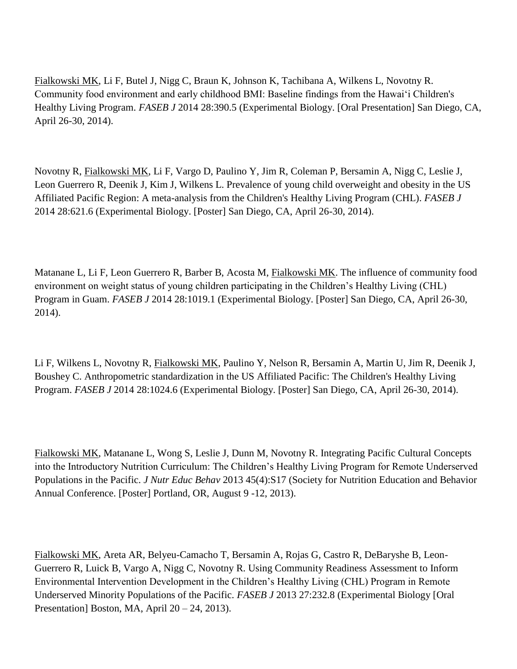Fialkowski MK, Li F, Butel J, Nigg C, Braun K, Johnson K, Tachibana A, Wilkens L, Novotny R. Community food environment and early childhood BMI: Baseline findings from the Hawaiʻi Children's Healthy Living Program. *FASEB J* 2014 28:390.5 (Experimental Biology. [Oral Presentation] San Diego, CA, April 26-30, 2014).

Novotny R, Fialkowski MK, Li F, Vargo D, Paulino Y, Jim R, Coleman P, Bersamin A, Nigg C, Leslie J, Leon Guerrero R, Deenik J, Kim J, Wilkens L. Prevalence of young child overweight and obesity in the US Affiliated Pacific Region: A meta-analysis from the Children's Healthy Living Program (CHL). *FASEB J*  2014 28:621.6 (Experimental Biology. [Poster] San Diego, CA, April 26-30, 2014).

Matanane L, Li F, Leon Guerrero R, Barber B, Acosta M, Fialkowski MK. The influence of community food environment on weight status of young children participating in the Children's Healthy Living (CHL) Program in Guam. *FASEB J* 2014 28:1019.1 (Experimental Biology. [Poster] San Diego, CA, April 26-30, 2014).

Li F, Wilkens L, Novotny R, Fialkowski MK, Paulino Y, Nelson R, Bersamin A, Martin U, Jim R, Deenik J, Boushey C. Anthropometric standardization in the US Affiliated Pacific: The Children's Healthy Living Program. *FASEB J* 2014 28:1024.6 (Experimental Biology. [Poster] San Diego, CA, April 26-30, 2014).

Fialkowski MK, Matanane L, Wong S, Leslie J, Dunn M, Novotny R. Integrating Pacific Cultural Concepts into the Introductory Nutrition Curriculum: The Children's Healthy Living Program for Remote Underserved Populations in the Pacific. *J Nutr Educ Behav* 2013 45(4):S17 (Society for Nutrition Education and Behavior Annual Conference. [Poster] Portland, OR, August 9 -12, 2013).

Fialkowski MK, Areta AR, Belyeu-Camacho T, Bersamin A, Rojas G, Castro R, DeBaryshe B, Leon-Guerrero R, Luick B, Vargo A, Nigg C, Novotny R. Using Community Readiness Assessment to Inform Environmental Intervention Development in the Children's Healthy Living (CHL) Program in Remote Underserved Minority Populations of the Pacific. *FASEB J* 2013 27:232.8 (Experimental Biology [Oral Presentation] Boston, MA, April 20 – 24, 2013).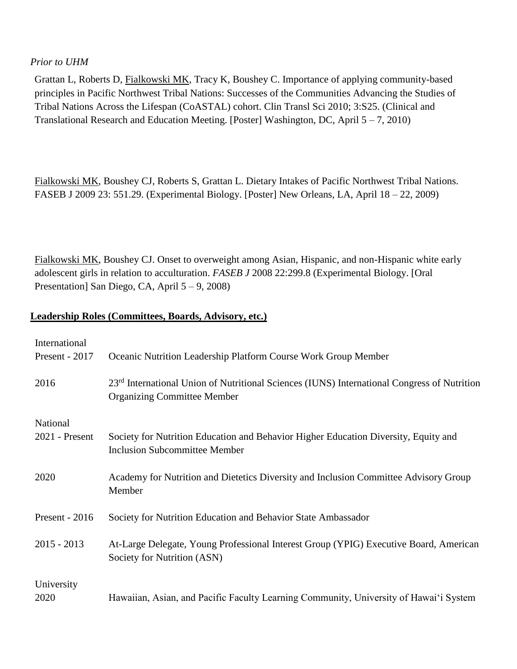#### *Prior to UHM*

Grattan L, Roberts D, Fialkowski MK, Tracy K, Boushey C. Importance of applying community-based principles in Pacific Northwest Tribal Nations: Successes of the Communities Advancing the Studies of Tribal Nations Across the Lifespan (CoASTAL) cohort. Clin Transl Sci 2010; 3:S25. (Clinical and Translational Research and Education Meeting. [Poster] Washington, DC, April  $5 - 7$ , 2010)

Fialkowski MK, Boushey CJ, Roberts S, Grattan L. Dietary Intakes of Pacific Northwest Tribal Nations. FASEB J 2009 23: 551.29. (Experimental Biology. [Poster] New Orleans, LA, April 18 – 22, 2009)

Fialkowski MK, Boushey CJ. Onset to overweight among Asian, Hispanic, and non-Hispanic white early adolescent girls in relation to acculturation. *FASEB J* 2008 22:299.8 (Experimental Biology. [Oral Presentation] San Diego, CA, April 5 – 9, 2008)

#### **Leadership Roles (Committees, Boards, Advisory, etc.)**

| International    |                                                                                                                                               |
|------------------|-----------------------------------------------------------------------------------------------------------------------------------------------|
| Present - 2017   | Oceanic Nutrition Leadership Platform Course Work Group Member                                                                                |
| 2016             | 23 <sup>rd</sup> International Union of Nutritional Sciences (IUNS) International Congress of Nutrition<br><b>Organizing Committee Member</b> |
| National         |                                                                                                                                               |
| $2021$ - Present | Society for Nutrition Education and Behavior Higher Education Diversity, Equity and<br><b>Inclusion Subcommittee Member</b>                   |
| 2020             | Academy for Nutrition and Dietetics Diversity and Inclusion Committee Advisory Group<br>Member                                                |
| Present - $2016$ | Society for Nutrition Education and Behavior State Ambassador                                                                                 |
| $2015 - 2013$    | At-Large Delegate, Young Professional Interest Group (YPIG) Executive Board, American<br>Society for Nutrition (ASN)                          |
| University       |                                                                                                                                               |
| 2020             | Hawaiian, Asian, and Pacific Faculty Learning Community, University of Hawai'i System                                                         |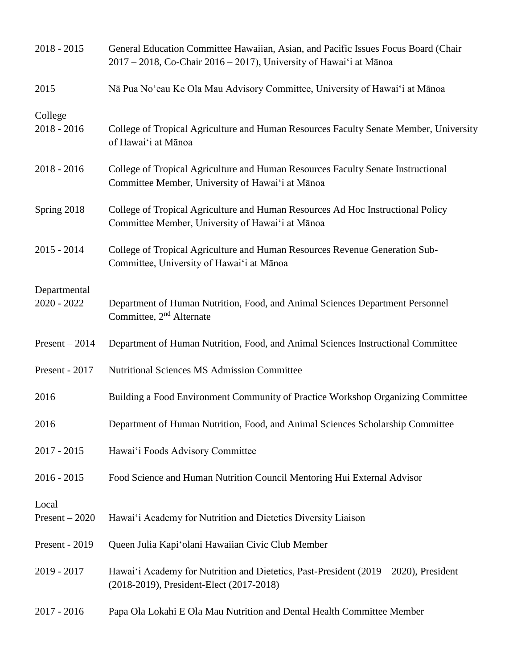| $2018 - 2015$                 | General Education Committee Hawaiian, Asian, and Pacific Issues Focus Board (Chair<br>$2017 - 2018$ , Co-Chair 2016 – 2017), University of Hawai'i at Mānoa |
|-------------------------------|-------------------------------------------------------------------------------------------------------------------------------------------------------------|
| 2015                          | Nā Pua No'eau Ke Ola Mau Advisory Committee, University of Hawai'i at Mānoa                                                                                 |
| College<br>$2018 - 2016$      | College of Tropical Agriculture and Human Resources Faculty Senate Member, University<br>of Hawai'i at Mānoa                                                |
| $2018 - 2016$                 | College of Tropical Agriculture and Human Resources Faculty Senate Instructional<br>Committee Member, University of Hawai'i at Mānoa                        |
| Spring 2018                   | College of Tropical Agriculture and Human Resources Ad Hoc Instructional Policy<br>Committee Member, University of Hawai'i at Mānoa                         |
| $2015 - 2014$                 | College of Tropical Agriculture and Human Resources Revenue Generation Sub-<br>Committee, University of Hawai'i at Mānoa                                    |
| Departmental<br>$2020 - 2022$ | Department of Human Nutrition, Food, and Animal Sciences Department Personnel<br>Committee, 2 <sup>nd</sup> Alternate                                       |
| $Present - 2014$              | Department of Human Nutrition, Food, and Animal Sciences Instructional Committee                                                                            |
| Present - 2017                | <b>Nutritional Sciences MS Admission Committee</b>                                                                                                          |
| 2016                          | Building a Food Environment Community of Practice Workshop Organizing Committee                                                                             |
| 2016                          | Department of Human Nutrition, Food, and Animal Sciences Scholarship Committee                                                                              |
| $2017 - 2015$                 | Hawai'i Foods Advisory Committee                                                                                                                            |
| $2016 - 2015$                 | Food Science and Human Nutrition Council Mentoring Hui External Advisor                                                                                     |
| Local<br>$Present - 2020$     | Hawai'i Academy for Nutrition and Dietetics Diversity Liaison                                                                                               |
| Present - 2019                | Queen Julia Kapi'olani Hawaiian Civic Club Member                                                                                                           |
| $2019 - 2017$                 | Hawai'i Academy for Nutrition and Dietetics, Past-President (2019 – 2020), President<br>(2018-2019), President-Elect (2017-2018)                            |
| $2017 - 2016$                 | Papa Ola Lokahi E Ola Mau Nutrition and Dental Health Committee Member                                                                                      |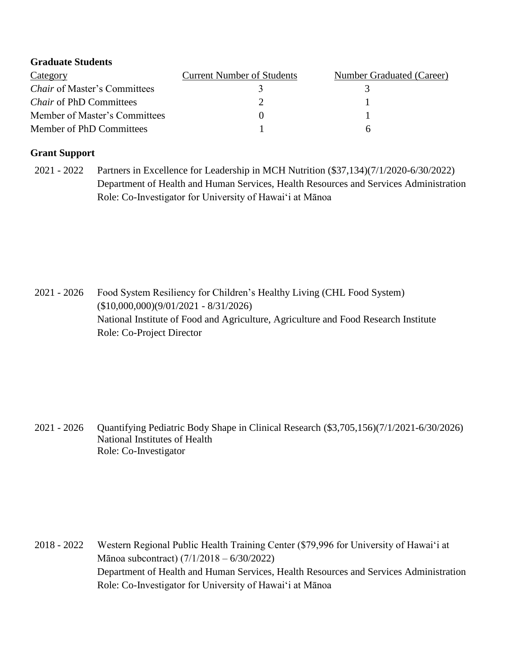| <b>Graduate Students</b>            |                                   |                           |
|-------------------------------------|-----------------------------------|---------------------------|
| Category                            | <b>Current Number of Students</b> | Number Graduated (Career) |
| <i>Chair</i> of Master's Committees |                                   |                           |
| <i>Chair</i> of PhD Committees      |                                   |                           |
| Member of Master's Committees       |                                   |                           |
| Member of PhD Committees            |                                   | n                         |

## **Grant Support**

2021 - 2022 Partners in Excellence for Leadership in MCH Nutrition (\$37,134)(7/1/2020-6/30/2022) Department of Health and Human Services, Health Resources and Services Administration Role: Co-Investigator for University of Hawai'i at Mānoa

2021 - 2026 Food System Resiliency for Children's Healthy Living (CHL Food System) (\$10,000,000)(9/01/2021 - 8/31/2026) National Institute of Food and Agriculture, Agriculture and Food Research Institute Role: Co-Project Director

2021 - 2026 Quantifying Pediatric Body Shape in Clinical Research (\$3,705,156)(7/1/2021-6/30/2026) National Institutes of Health Role: Co-Investigator

2018 - 2022 Western Regional Public Health Training Center (\$79,996 for University of Hawai'i at Mānoa subcontract) (7/1/2018 – 6/30/2022) Department of Health and Human Services, Health Resources and Services Administration Role: Co-Investigator for University of Hawai'i at Mānoa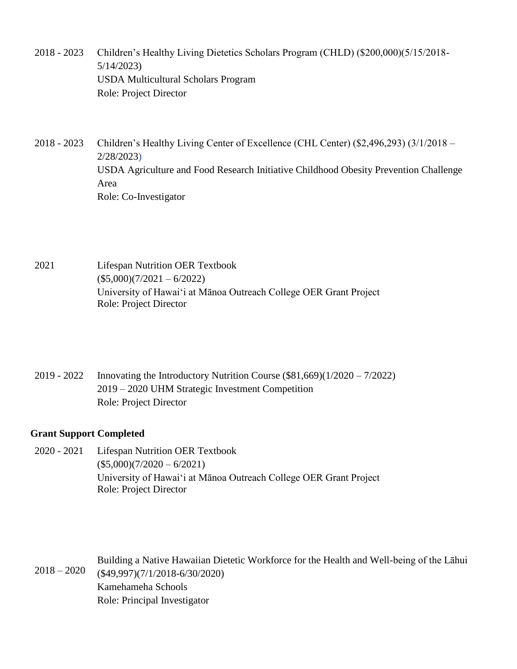- 2018 2023 Children's Healthy Living Dietetics Scholars Program (CHLD) (\$200,000)(5/15/2018- 5/14/2023) USDA Multicultural Scholars Program Role: Project Director
- 2018 2023 Children's Healthy Living Center of Excellence (CHL Center) (\$2,496,293) (3/1/2018 2/28/2023) USDA Agriculture and Food Research Initiative Childhood Obesity Prevention Challenge Area Role: Co-Investigator

2021 Lifespan Nutrition OER Textbook  $($5,000)(7/2021 - 6/2022)$ University of Hawai'i at Mānoa Outreach College OER Grant Project Role: Project Director

2019 - 2022 Innovating the Introductory Nutrition Course (\$81,669)(1/2020 – 7/2022) 2019 – 2020 UHM Strategic Investment Competition Role: Project Director

## **Grant Support Completed**

2020 - 2021 Lifespan Nutrition OER Textbook  $($5,000)(7/2020 - 6/2021)$ University of Hawai'i at Mānoa Outreach College OER Grant Project Role: Project Director

 $2018 - 2020$ Building a Native Hawaiian Dietetic Workforce for the Health and Well-being of the Lāhui (\$49,997)(7/1/2018-6/30/2020) Kamehameha Schools Role: Principal Investigator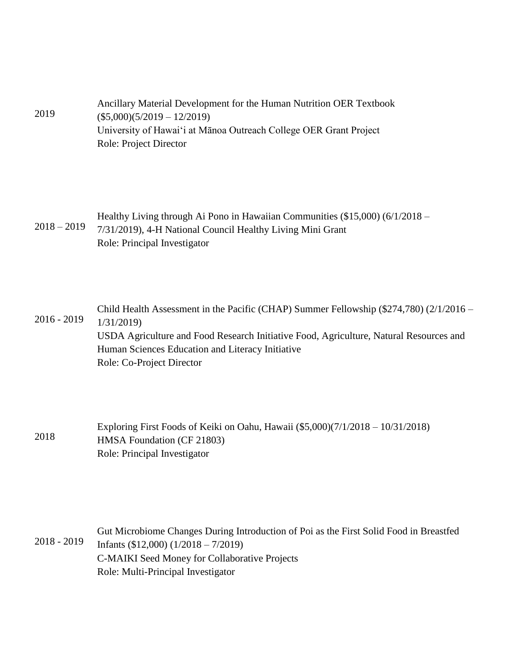| 2019 | Ancillary Material Development for the Human Nutrition OER Textbook |
|------|---------------------------------------------------------------------|
|      | $(\$5,000)(5/2019 - 12/2019)$                                       |
|      | University of Hawai'i at Mānoa Outreach College OER Grant Project   |
|      | Role: Project Director                                              |

|  | Healthy Living through Ai Pono in Hawaiian Communities (\$15,000) (6/1/2018 – |
|--|-------------------------------------------------------------------------------|
|  | 2018 - 2019 7/31/2019), 4-H National Council Healthy Living Mini Grant        |
|  | Role: Principal Investigator                                                  |

2016 - 2019 Child Health Assessment in the Pacific (CHAP) Summer Fellowship (\$274,780) (2/1/2016 – 1/31/2019) USDA Agriculture and Food Research Initiative Food, Agriculture, Natural Resources and Human Sciences Education and Literacy Initiative Role: Co-Project Director

2018 Exploring First Foods of Keiki on Oahu, Hawaii (\$5,000)(7/1/2018 – 10/31/2018) HMSA Foundation (CF 21803) Role: Principal Investigator

2018 - 2019 Gut Microbiome Changes During Introduction of Poi as the First Solid Food in Breastfed Infants (\$12,000) (1/2018 – 7/2019) C-MAIKI Seed Money for Collaborative Projects Role: Multi-Principal Investigator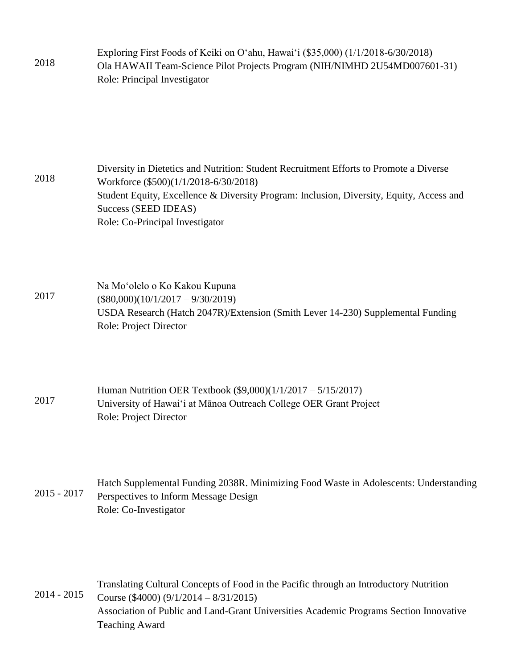| 2018 | Exploring First Foods of Keiki on O'ahu, Hawai'i (\$35,000) (1/1/2018-6/30/2018) |
|------|----------------------------------------------------------------------------------|
|      | Ola HAWAII Team-Science Pilot Projects Program (NIH/NIMHD 2U54MD007601-31)       |
|      | Role: Principal Investigator                                                     |

2018 Diversity in Dietetics and Nutrition: Student Recruitment Efforts to Promote a Diverse Workforce (\$500)(1/1/2018-6/30/2018) Student Equity, Excellence & Diversity Program: Inclusion, Diversity, Equity, Access and Success (SEED IDEAS) Role: Co-Principal Investigator

2017 Na Mo'olelo o Ko Kakou Kupuna  $($80,000)(10/1/2017 - 9/30/2019)$ USDA Research (Hatch 2047R)/Extension (Smith Lever 14-230) Supplemental Funding Role: Project Director

2017 Human Nutrition OER Textbook (\$9,000)(1/1/2017 – 5/15/2017) University of Hawai'i at Mānoa Outreach College OER Grant Project Role: Project Director

2015 - 2017 Hatch Supplemental Funding 2038R. Minimizing Food Waste in Adolescents: Understanding Perspectives to Inform Message Design Role: Co-Investigator

2014 - 2015 Translating Cultural Concepts of Food in the Pacific through an Introductory Nutrition Course (\$4000) (9/1/2014 – 8/31/2015) Association of Public and Land-Grant Universities Academic Programs Section Innovative Teaching Award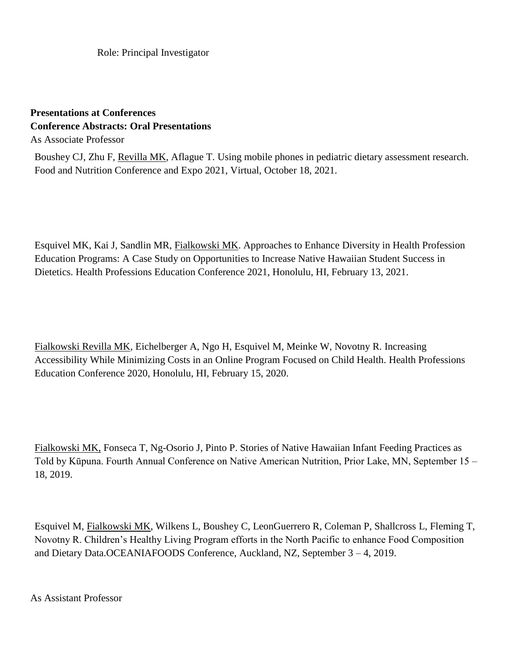Role: Principal Investigator

## **Presentations at Conferences Conference Abstracts: Oral Presentations** As Associate Professor

Boushey CJ, Zhu F, Revilla MK, Aflague T. Using mobile phones in pediatric dietary assessment research. Food and Nutrition Conference and Expo 2021, Virtual, October 18, 2021.

Esquivel MK, Kai J, Sandlin MR, Fialkowski MK. Approaches to Enhance Diversity in Health Profession Education Programs: A Case Study on Opportunities to Increase Native Hawaiian Student Success in Dietetics. Health Professions Education Conference 2021, Honolulu, HI, February 13, 2021.

Fialkowski Revilla MK, Eichelberger A, Ngo H, Esquivel M, Meinke W, Novotny R. Increasing Accessibility While Minimizing Costs in an Online Program Focused on Child Health. Health Professions Education Conference 2020, Honolulu, HI, February 15, 2020.

Fialkowski MK, Fonseca T, Ng-Osorio J, Pinto P. Stories of Native Hawaiian Infant Feeding Practices as Told by Kūpuna. Fourth Annual Conference on Native American Nutrition, Prior Lake, MN, September 15 – 18, 2019.

Esquivel M, Fialkowski MK, Wilkens L, Boushey C, LeonGuerrero R, Coleman P, Shallcross L, Fleming T, Novotny R. Children's Healthy Living Program efforts in the North Pacific to enhance Food Composition and Dietary Data.OCEANIAFOODS Conference, Auckland, NZ, September 3 – 4, 2019.

As Assistant Professor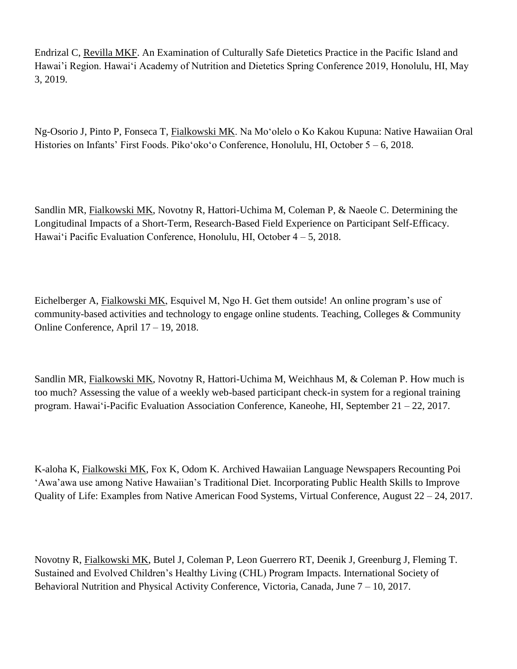Endrizal C, Revilla MKF. An Examination of Culturally Safe Dietetics Practice in the Pacific Island and Hawai'i Region. Hawai'i Academy of Nutrition and Dietetics Spring Conference 2019, Honolulu, HI, May 3, 2019.

Ng-Osorio J, Pinto P, Fonseca T, Fialkowski MK. Na Mo'olelo o Ko Kakou Kupuna: Native Hawaiian Oral Histories on Infants' First Foods. Piko'oko'o Conference, Honolulu, HI, October 5 – 6, 2018.

Sandlin MR, Fialkowski MK, Novotny R, Hattori-Uchima M, Coleman P, & Naeole C. Determining the Longitudinal Impacts of a Short-Term, Research-Based Field Experience on Participant Self-Efficacy. Hawai'i Pacific Evaluation Conference, Honolulu, HI, October 4 – 5, 2018.

Eichelberger A, Fialkowski MK, Esquivel M, Ngo H. Get them outside! An online program's use of community-based activities and technology to engage online students. Teaching, Colleges & Community Online Conference, April 17 – 19, 2018.

Sandlin MR, Fialkowski MK, Novotny R, Hattori-Uchima M, Weichhaus M, & Coleman P. How much is too much? Assessing the value of a weekly web-based participant check-in system for a regional training program. Hawai'i-Pacific Evaluation Association Conference, Kaneohe, HI, September 21 – 22, 2017.

K-aloha K, Fialkowski MK, Fox K, Odom K. Archived Hawaiian Language Newspapers Recounting Poi 'Awa'awa use among Native Hawaiian's Traditional Diet. [Incorporating Public Health Skills to Improve](https://wrphtc.arizona.edu/virtual-conference)  [Quality of Life: Examples from Native American Food Systems,](https://wrphtc.arizona.edu/virtual-conference) Virtual Conference, August 22 – 24, 2017.

Novotny R, Fialkowski MK, Butel J, Coleman P, Leon Guerrero RT, Deenik J, Greenburg J, Fleming T. Sustained and Evolved Children's Healthy Living (CHL) Program Impacts. International Society of Behavioral Nutrition and Physical Activity Conference, Victoria, Canada, June 7 – 10, 2017.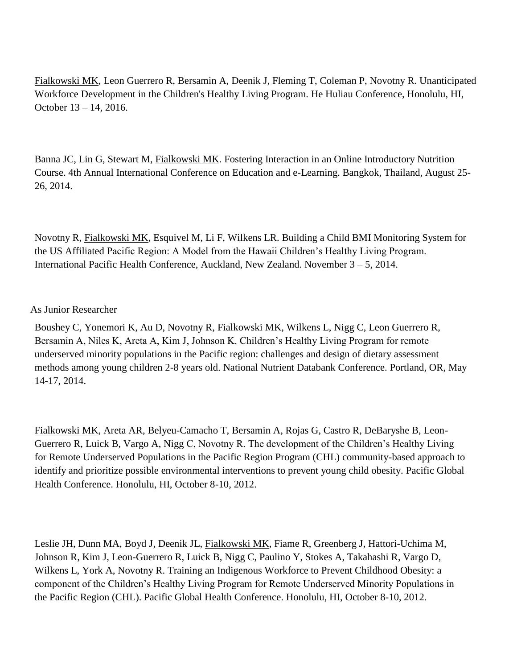Fialkowski MK, Leon Guerrero R, Bersamin A, Deenik J, Fleming T, Coleman P, Novotny R. Unanticipated Workforce Development in the Children's Healthy Living Program. He Huliau Conference, Honolulu, HI, October 13 – 14, 2016.

Banna JC, Lin G, Stewart M, Fialkowski MK. Fostering Interaction in an Online Introductory Nutrition Course. 4th Annual International Conference on Education and e-Learning. Bangkok, Thailand, August 25- 26, 2014.

Novotny R, Fialkowski MK, Esquivel M, Li F, Wilkens LR. Building a Child BMI Monitoring System for the US Affiliated Pacific Region: A Model from the Hawaii Children's Healthy Living Program. International Pacific Health Conference, Auckland, New Zealand. November 3 – 5, 2014.

#### As Junior Researcher

Boushey C, Yonemori K, Au D, Novotny R, Fialkowski MK, Wilkens L, Nigg C, Leon Guerrero R, Bersamin A, Niles K, Areta A, Kim J, Johnson K. Children's Healthy Living Program for remote underserved minority populations in the Pacific region: challenges and design of dietary assessment methods among young children 2-8 years old. National Nutrient Databank Conference. Portland, OR, May 14-17, 2014.

Fialkowski MK, Areta AR, Belyeu-Camacho T, Bersamin A, Rojas G, Castro R, DeBaryshe B, Leon-Guerrero R, Luick B, Vargo A, Nigg C, Novotny R. The development of the Children's Healthy Living for Remote Underserved Populations in the Pacific Region Program (CHL) community-based approach to identify and prioritize possible environmental interventions to prevent young child obesity. Pacific Global Health Conference. Honolulu, HI, October 8-10, 2012.

Leslie JH, Dunn MA, Boyd J, Deenik JL, Fialkowski MK, Fiame R, Greenberg J, Hattori-Uchima M, Johnson R, Kim J, Leon-Guerrero R, Luick B, Nigg C, Paulino Y, Stokes A, Takahashi R, Vargo D, Wilkens L, York A, Novotny R. Training an Indigenous Workforce to Prevent Childhood Obesity: a component of the Children's Healthy Living Program for Remote Underserved Minority Populations in the Pacific Region (CHL). Pacific Global Health Conference. Honolulu, HI, October 8-10, 2012.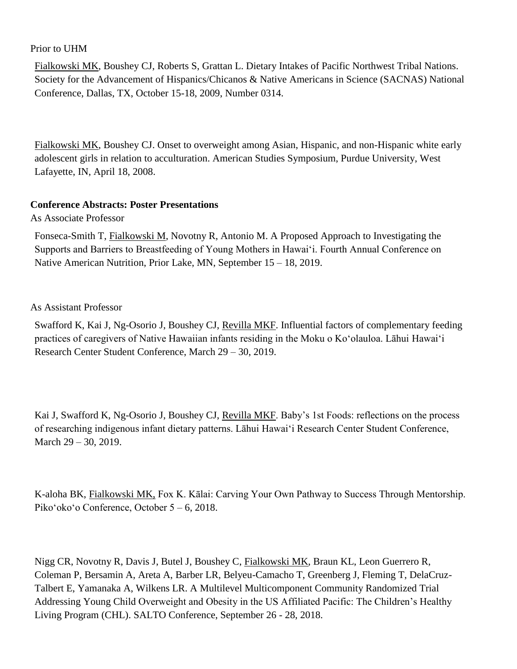#### Prior to UHM

Fialkowski MK, Boushey CJ, Roberts S, Grattan L. Dietary Intakes of Pacific Northwest Tribal Nations. Society for the Advancement of Hispanics/Chicanos & Native Americans in Science (SACNAS) National Conference, Dallas, TX, October 15-18, 2009, Number 0314.

Fialkowski MK, Boushey CJ. Onset to overweight among Asian, Hispanic, and non-Hispanic white early adolescent girls in relation to acculturation. American Studies Symposium, Purdue University, West Lafayette, IN, April 18, 2008.

#### **Conference Abstracts: Poster Presentations**

As Associate Professor

Fonseca-Smith T, Fialkowski M, Novotny R, Antonio M. A Proposed Approach to Investigating the Supports and Barriers to Breastfeeding of Young Mothers in Hawai'i. Fourth Annual Conference on Native American Nutrition, Prior Lake, MN, September 15 – 18, 2019.

#### As Assistant Professor

Swafford K, Kai J, Ng-Osorio J, Boushey CJ, Revilla MKF. Influential factors of complementary feeding practices of caregivers of Native Hawaiian infants residing in the Moku o Koʻolauloa. Lāhui Hawai'i Research Center Student Conference, March 29 – 30, 2019.

Kai J, Swafford K, Ng-Osorio J, Boushey CJ, Revilla MKF. Baby's 1st Foods: reflections on the process of researching indigenous infant dietary patterns. Lāhui Hawai'i Research Center Student Conference, March 29 – 30, 2019.

K-aloha BK, Fialkowski MK, Fox K. Kālai: Carving Your Own Pathway to Success Through Mentorship. Piko'oko'o Conference, October 5 – 6, 2018.

Nigg CR, Novotny R, Davis J, Butel J, Boushey C, Fialkowski MK, Braun KL, Leon Guerrero R, Coleman P, Bersamin A, Areta A, Barber LR, Belyeu-Camacho T, Greenberg J, Fleming T, DelaCruz-Talbert E, Yamanaka A, Wilkens LR. A Multilevel Multicomponent Community Randomized Trial Addressing Young Child Overweight and Obesity in the US Affiliated Pacific: The Children's Healthy Living Program (CHL). SALTO Conference, September 26 - 28, 2018.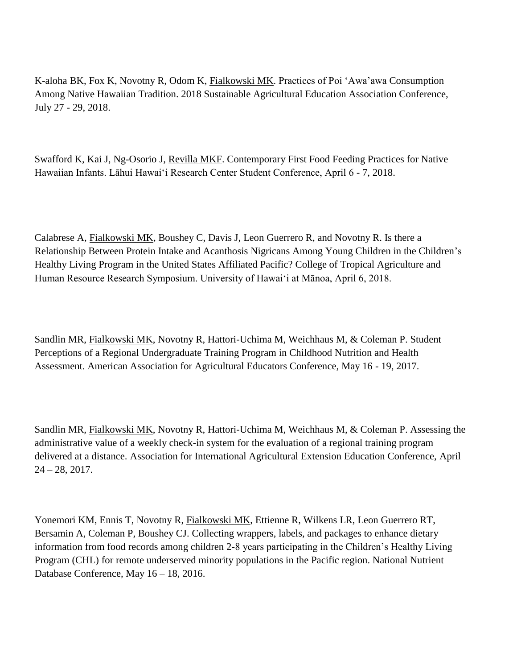K-aloha BK, Fox K, Novotny R, Odom K, Fialkowski MK. Practices of Poi 'Awa'awa Consumption Among Native Hawaiian Tradition. 2018 Sustainable Agricultural Education Association Conference, July 27 - 29, 2018.

Swafford K, Kai J, Ng-Osorio J, Revilla MKF. Contemporary First Food Feeding Practices for Native Hawaiian Infants. Lāhui Hawai'i Research Center Student Conference, April 6 - 7, 2018.

Calabrese A, Fialkowski MK, Boushey C, Davis J, Leon Guerrero R, and Novotny R. Is there a Relationship Between Protein Intake and Acanthosis Nigricans Among Young Children in the Children's Healthy Living Program in the United States Affiliated Pacific? College of Tropical Agriculture and Human Resource Research Symposium. University of Hawaiʻi at Mānoa, April 6, 2018.

Sandlin MR, Fialkowski MK, Novotny R, Hattori-Uchima M, Weichhaus M, & Coleman P. Student Perceptions of a Regional Undergraduate Training Program in Childhood Nutrition and Health Assessment. American Association for Agricultural Educators Conference, May 16 - 19, 2017.

Sandlin MR, Fialkowski MK, Novotny R, Hattori-Uchima M, Weichhaus M, & Coleman P. Assessing the administrative value of a weekly check-in system for the evaluation of a regional training program delivered at a distance. Association for International Agricultural Extension Education Conference, April  $24 - 28$ , 2017.

Yonemori KM, Ennis T, Novotny R, Fialkowski MK, Ettienne R, Wilkens LR, Leon Guerrero RT, Bersamin A, Coleman P, Boushey CJ. Collecting wrappers, labels, and packages to enhance dietary information from food records among children 2-8 years participating in the Children's Healthy Living Program (CHL) for remote underserved minority populations in the Pacific region. National Nutrient Database Conference, May 16 – 18, 2016.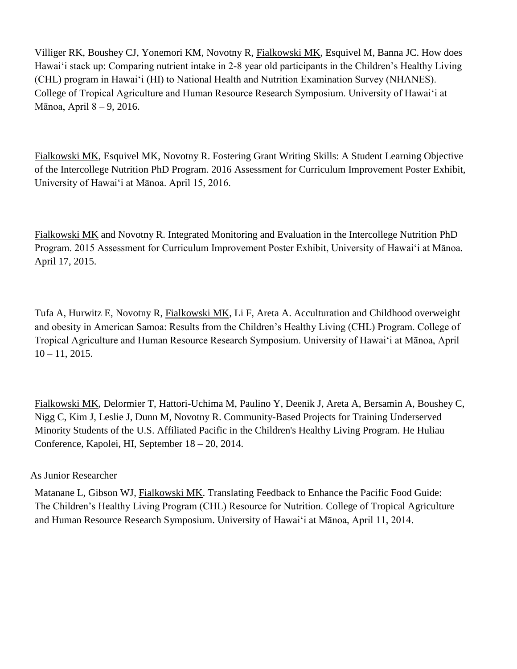Villiger RK, Boushey CJ, Yonemori KM, Novotny R, Fialkowski MK, Esquivel M, Banna JC. How does Hawai'i stack up: Comparing nutrient intake in 2-8 year old participants in the Children's Healthy Living (CHL) program in Hawai'i (HI) to National Health and Nutrition Examination Survey (NHANES). College of Tropical Agriculture and Human Resource Research Symposium. University of Hawaiʻi at Mānoa, April 8 – 9, 2016.

Fialkowski MK, Esquivel MK, Novotny R. Fostering Grant Writing Skills: A Student Learning Objective of the Intercollege Nutrition PhD Program. 2016 Assessment for Curriculum Improvement Poster Exhibit, University of Hawai'i at Mānoa. April 15, 2016.

Fialkowski MK and Novotny R. Integrated Monitoring and Evaluation in the Intercollege Nutrition PhD Program. 2015 Assessment for Curriculum Improvement Poster Exhibit, University of Hawai'i at Mānoa. April 17, 2015.

Tufa A, Hurwitz E, Novotny R, Fialkowski MK, Li F, Areta A. Acculturation and Childhood overweight and obesity in American Samoa: Results from the Children's Healthy Living (CHL) Program. College of Tropical Agriculture and Human Resource Research Symposium. University of Hawaiʻi at Mānoa, April  $10 - 11$ , 2015.

Fialkowski MK, Delormier T, Hattori-Uchima M, Paulino Y, Deenik J, Areta A, Bersamin A, Boushey C, Nigg C, Kim J, Leslie J, Dunn M, Novotny R. Community-Based Projects for Training Underserved Minority Students of the U.S. Affiliated Pacific in the Children's Healthy Living Program. He Huliau Conference, Kapolei, HI, September 18 – 20, 2014.

## As Junior Researcher

Matanane L, Gibson WJ, Fialkowski MK. Translating Feedback to Enhance the Pacific Food Guide: The Children's Healthy Living Program (CHL) Resource for Nutrition. College of Tropical Agriculture and Human Resource Research Symposium. University of Hawaiʻi at Mānoa, April 11, 2014.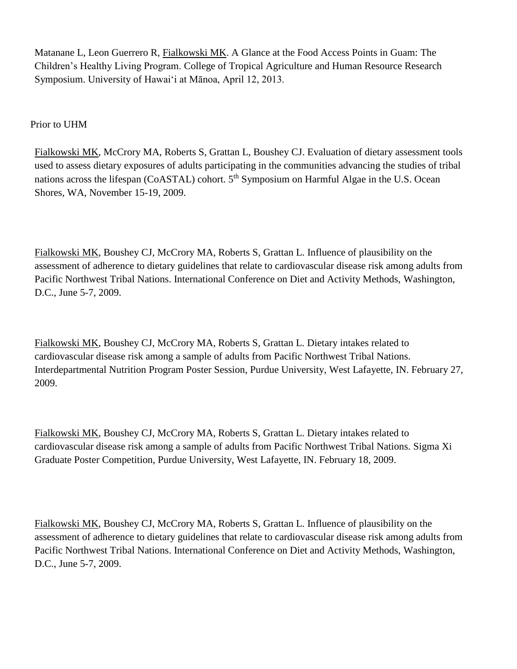Matanane L, Leon Guerrero R, Fialkowski MK. A Glance at the Food Access Points in Guam: The Children's Healthy Living Program. College of Tropical Agriculture and Human Resource Research Symposium. University of Hawaiʻi at Mānoa, April 12, 2013.

Prior to UHM

Fialkowski MK, McCrory MA, Roberts S, Grattan L, Boushey CJ. Evaluation of dietary assessment tools used to assess dietary exposures of adults participating in the communities advancing the studies of tribal nations across the lifespan (CoASTAL) cohort. 5<sup>th</sup> Symposium on Harmful Algae in the U.S. Ocean Shores, WA, November 15-19, 2009.

Fialkowski MK, Boushey CJ, McCrory MA, Roberts S, Grattan L. Influence of plausibility on the assessment of adherence to dietary guidelines that relate to cardiovascular disease risk among adults from Pacific Northwest Tribal Nations. International Conference on Diet and Activity Methods, Washington, D.C., June 5-7, 2009.

Fialkowski MK, Boushey CJ, McCrory MA, Roberts S, Grattan L. Dietary intakes related to cardiovascular disease risk among a sample of adults from Pacific Northwest Tribal Nations. Interdepartmental Nutrition Program Poster Session, Purdue University, West Lafayette, IN. February 27, 2009.

Fialkowski MK, Boushey CJ, McCrory MA, Roberts S, Grattan L. Dietary intakes related to cardiovascular disease risk among a sample of adults from Pacific Northwest Tribal Nations. Sigma Xi Graduate Poster Competition, Purdue University, West Lafayette, IN. February 18, 2009.

Fialkowski MK, Boushey CJ, McCrory MA, Roberts S, Grattan L. Influence of plausibility on the assessment of adherence to dietary guidelines that relate to cardiovascular disease risk among adults from Pacific Northwest Tribal Nations. International Conference on Diet and Activity Methods, Washington, D.C., June 5-7, 2009.